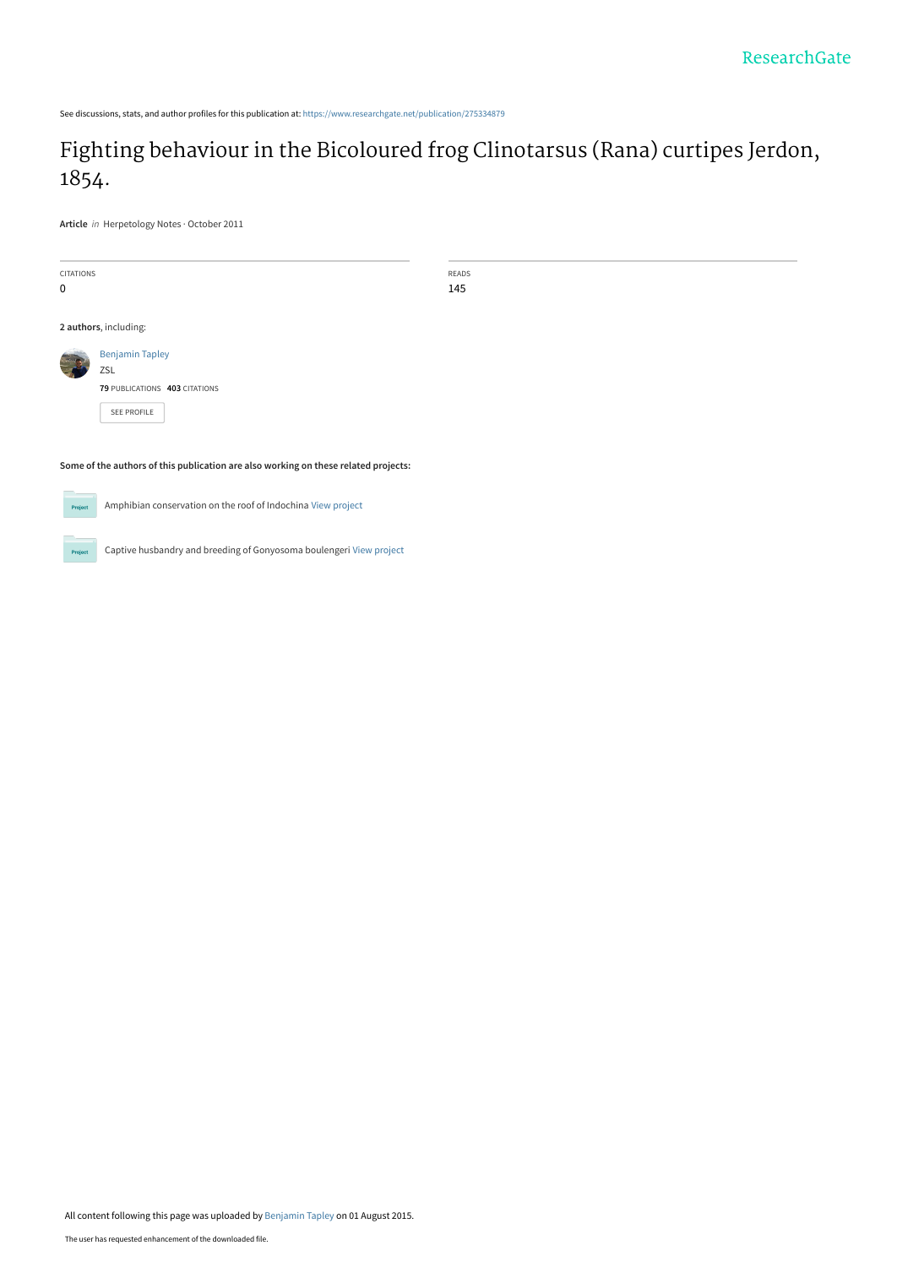See discussions, stats, and author profiles for this publication at: [https://www.researchgate.net/publication/275334879](https://www.researchgate.net/publication/275334879_Fighting_behaviour_in_the_Bicoloured_frog_Clinotarsus_Rana_curtipes_Jerdon_1854?enrichId=rgreq-689ec66991259e9a1dc64d23819a3b6f-XXX&enrichSource=Y292ZXJQYWdlOzI3NTMzNDg3OTtBUzoyNTc1NTYzNzEyMTAyNDBAMTQzODQxNzYzMjE2OA%3D%3D&el=1_x_2&_esc=publicationCoverPdf)

## [Fighting behaviour in the Bicoloured frog Clinotarsus \(Rana\) curtipes Jerdon,](https://www.researchgate.net/publication/275334879_Fighting_behaviour_in_the_Bicoloured_frog_Clinotarsus_Rana_curtipes_Jerdon_1854?enrichId=rgreq-689ec66991259e9a1dc64d23819a3b6f-XXX&enrichSource=Y292ZXJQYWdlOzI3NTMzNDg3OTtBUzoyNTc1NTYzNzEyMTAyNDBAMTQzODQxNzYzMjE2OA%3D%3D&el=1_x_3&_esc=publicationCoverPdf) 1854.

**Article** in Herpetology Notes · October 2011

| CITATIONS                                                                           |                               | READS |
|-------------------------------------------------------------------------------------|-------------------------------|-------|
| 0                                                                                   |                               | 145   |
|                                                                                     |                               |       |
| 2 authors, including:                                                               |                               |       |
| <b>Contract</b><br>$\overline{\phantom{a}}$                                         | <b>Benjamin Tapley</b>        |       |
|                                                                                     | ZSL                           |       |
|                                                                                     | 79 PUBLICATIONS 403 CITATIONS |       |
|                                                                                     | SEE PROFILE                   |       |
|                                                                                     |                               |       |
| Some of the authors of this publication are also working on these related projects: |                               |       |



Amphibian conservation on the roof of Indochina [View project](https://www.researchgate.net/project/Amphibian-conservation-on-the-roof-of-Indochina?enrichId=rgreq-689ec66991259e9a1dc64d23819a3b6f-XXX&enrichSource=Y292ZXJQYWdlOzI3NTMzNDg3OTtBUzoyNTc1NTYzNzEyMTAyNDBAMTQzODQxNzYzMjE2OA%3D%3D&el=1_x_9&_esc=publicationCoverPdf)



Captive husbandry and breeding of Gonyosoma boulengeri [View project](https://www.researchgate.net/project/Captive-husbandry-and-breeding-of-Gonyosoma-boulengeri?enrichId=rgreq-689ec66991259e9a1dc64d23819a3b6f-XXX&enrichSource=Y292ZXJQYWdlOzI3NTMzNDg3OTtBUzoyNTc1NTYzNzEyMTAyNDBAMTQzODQxNzYzMjE2OA%3D%3D&el=1_x_9&_esc=publicationCoverPdf)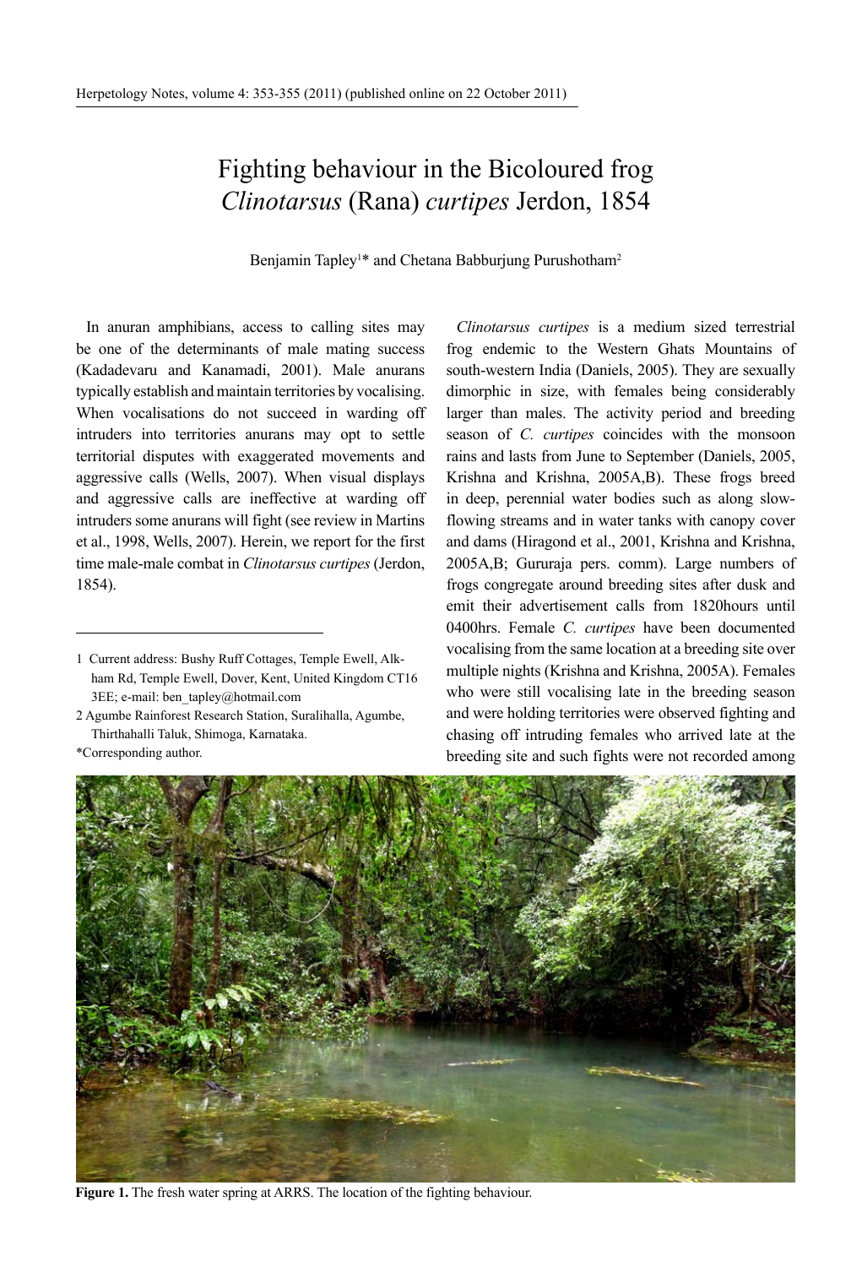## Fighting behaviour in the Bicoloured frog *Clinotarsus* (Rana) *curtipes* Jerdon, 1854

Benjamin Tapley<sup>1\*</sup> and Chetana Babburjung Purushotham<sup>2</sup>

In anuran amphibians, access to calling sites may be one of the determinants of male mating success (Kadadevaru and Kanamadi, 2001). Male anurans typically establish and maintain territories by vocalising. When vocalisations do not succeed in warding off intruders into territories anurans may opt to settle territorial disputes with exaggerated movements and aggressive calls (Wells, 2007). When visual displays and aggressive calls are ineffective at warding off intruders some anurans will fight (see review in Martins et al., 1998, Wells, 2007). Herein, we report for the first time male-male combat in *Clinotarsus curtipes* (Jerdon, 1854).

2 Agumbe Rainforest Research Station, Suralihalla, Agumbe, Thirthahalli Taluk, Shimoga, Karnataka.

*Clinotarsus curtipes* is a medium sized terrestrial frog endemic to the Western Ghats Mountains of south-western India (Daniels, 2005). They are sexually dimorphic in size, with females being considerably larger than males. The activity period and breeding season of *C. curtipes* coincides with the monsoon rains and lasts from June to September (Daniels, 2005, Krishna and Krishna, 2005A,B). These frogs breed in deep, perennial water bodies such as along slowflowing streams and in water tanks with canopy cover and dams (Hiragond et al., 2001, Krishna and Krishna, 2005A,B; Gururaja pers. comm). Large numbers of frogs congregate around breeding sites after dusk and emit their advertisement calls from 1820hours until 0400hrs. Female *C. curtipes* have been documented vocalising from the same location at a breeding site over multiple nights (Krishna and Krishna, 2005A). Females who were still vocalising late in the breeding season and were holding territories were observed fighting and chasing off intruding females who arrived late at the breeding site and such fights were not recorded among



**Figure 1.** The fresh water spring at ARRS. The location of the fighting behaviour.

<sup>1</sup> Current address: Bushy Ruff Cottages, Temple Ewell, Alkham Rd, Temple Ewell, Dover, Kent, United Kingdom CT16 3EE; e-mail: ben\_tapley@hotmail.com

<sup>\*</sup>Corresponding author.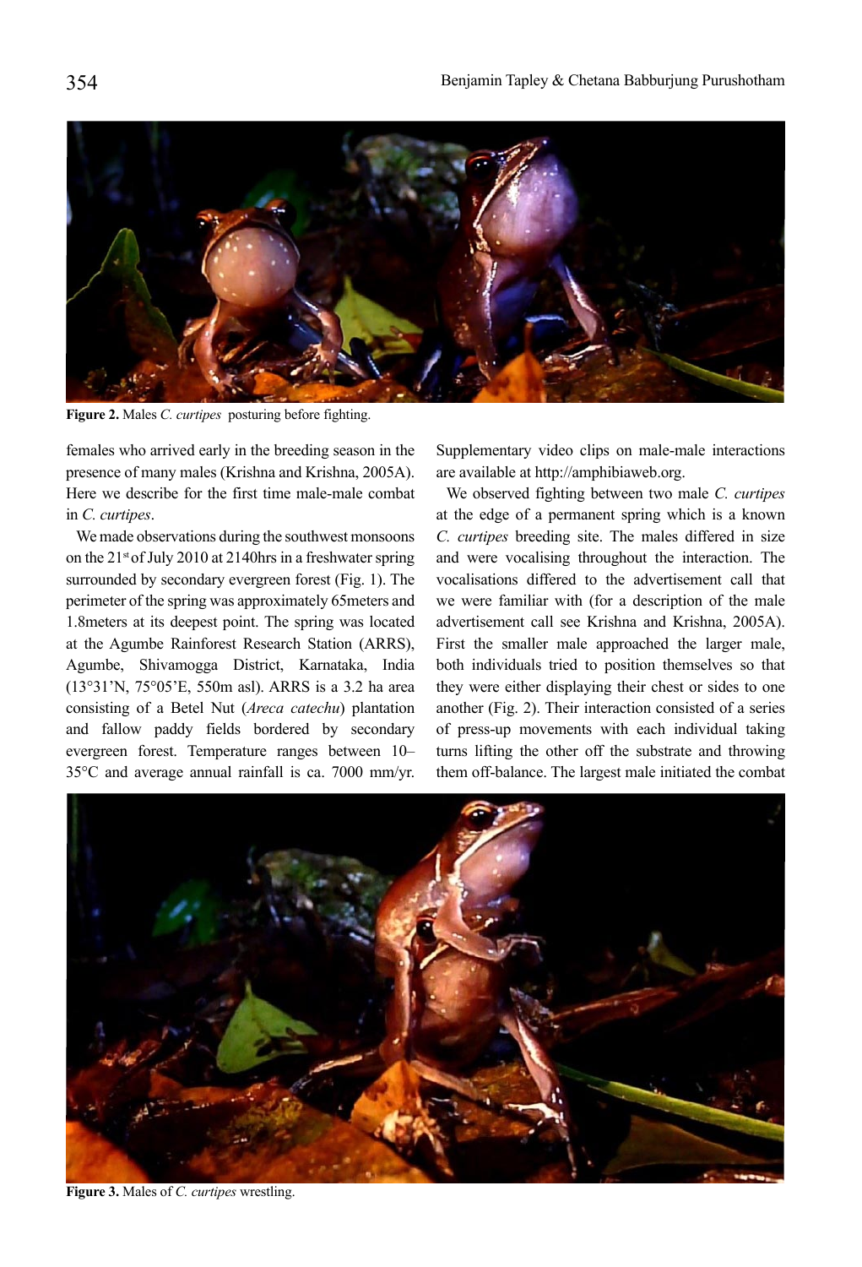

**Figure 2.** Males *C. curtipes* posturing before fighting.

females who arrived early in the breeding season in the presence of many males (Krishna and Krishna, 2005A). Here we describe for the first time male-male combat in *C. curtipes*.

We made observations during the southwest monsoons on the 21st of July 2010 at 2140hrs in a freshwater spring surrounded by secondary evergreen forest (Fig. 1). The perimeter of the spring was approximately 65meters and 1.8meters at its deepest point. The spring was located at the Agumbe Rainforest Research Station (ARRS), Agumbe, Shivamogga District, Karnataka, India (13°31'N, 75°05'E, 550m asl). ARRS is a 3.2 ha area consisting of a Betel Nut (*Areca catechu*) plantation and fallow paddy fields bordered by secondary evergreen forest. Temperature ranges between 10– 35°C and average annual rainfall is ca. 7000 mm/yr.

Supplementary video clips on male-male interactions are available at http://amphibiaweb.org.

We observed fighting between two male *C. curtipes* at the edge of a permanent spring which is a known *C. curtipes* breeding site. The males differed in size and were vocalising throughout the interaction. The vocalisations differed to the advertisement call that we were familiar with (for a description of the male advertisement call see Krishna and Krishna, 2005A). First the smaller male approached the larger male, both individuals tried to position themselves so that they were either displaying their chest or sides to one another (Fig. 2). Their interaction consisted of a series of press-up movements with each individual taking turns lifting the other off the substrate and throwing them off-balance. The largest male initiated the combat



**Figure 3.** Males of *C. curtipes* wrestling.